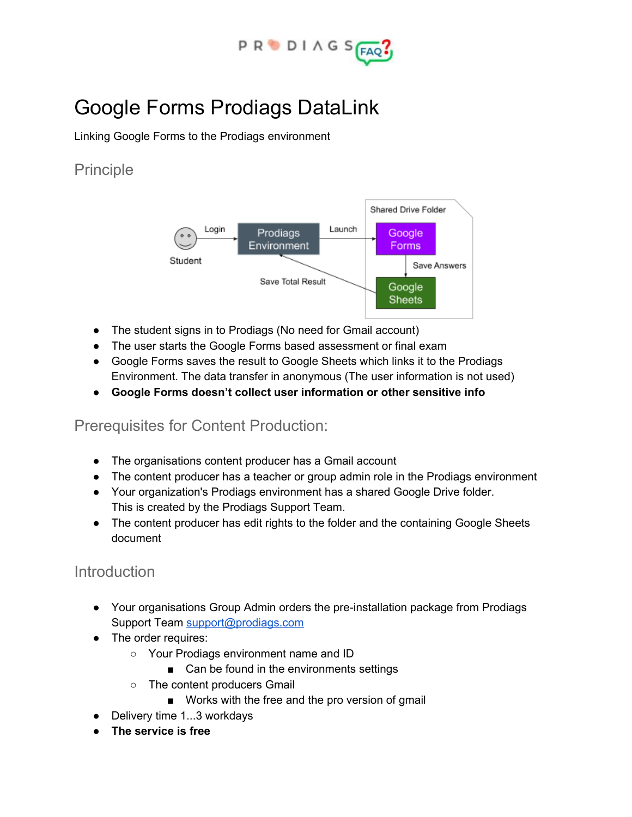

# Google Forms Prodiags DataLink

Linking Google Forms to the Prodiags environment

#### Principle



- The student signs in to Prodiags (No need for Gmail account)
- The user starts the Google Forms based assessment or final exam
- Google Forms saves the result to Google Sheets which links it to the Prodiags Environment. The data transfer in anonymous (The user information is not used)
- **● Google Forms doesn't collect user information or other sensitive info**

#### Prerequisites for Content Production:

- The organisations content producer has a Gmail account
- The content producer has a teacher or group admin role in the Prodiags environment
- Your organization's Prodiags environment has a shared Google Drive folder. This is created by the Prodiags Support Team.
- The content producer has edit rights to the folder and the containing Google Sheets document

#### Introduction

- Your organisations Group Admin orders the pre-installation package from Prodiags Support Team [support@prodiags.com](mailto:support@prodiags.com)
- The order requires:
	- Your Prodiags environment name and ID
		- Can be found in the environments settings
	- The content producers Gmail
		- Works with the free and the pro version of gmail
- Delivery time 1...3 workdays
- **● The service is free**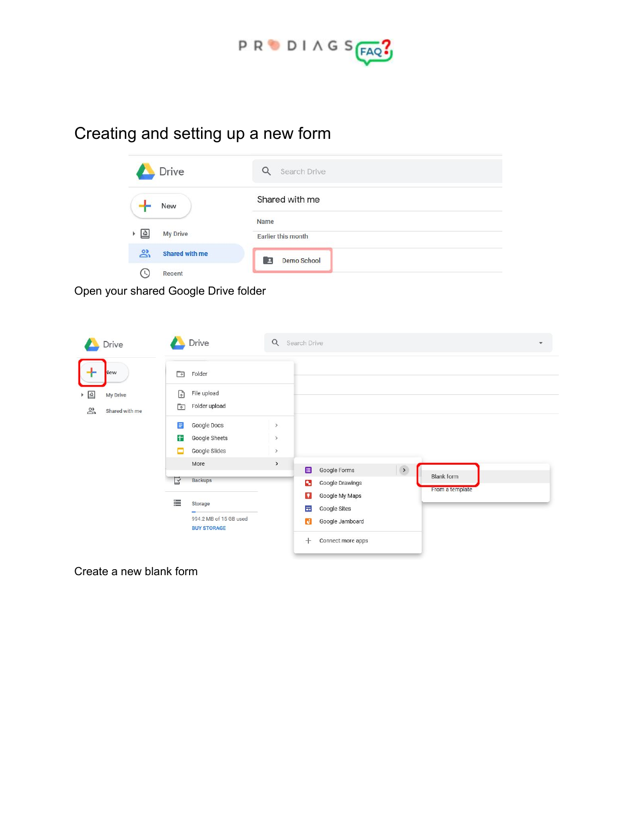

# Creating and setting up a new form

| Drive                 | Search Drive            |
|-----------------------|-------------------------|
| New                   | Shared with me          |
|                       | Name                    |
| <b>My Drive</b><br>I۵ | Earlier this month      |
| ക്<br>Shared with me  | <b>Demo School</b><br>в |
| Recent                |                         |

Open your shared Google Drive folder

| Drive                                                                                        | Drive                                                                                                                                                      | $\alpha$              | Search Drive                                                                                                           | $\overline{\mathbf{v}}$ |
|----------------------------------------------------------------------------------------------|------------------------------------------------------------------------------------------------------------------------------------------------------------|-----------------------|------------------------------------------------------------------------------------------------------------------------|-------------------------|
| New<br>$\triangleright$ $\mathbf{\underline{\triangle}}$<br>My Drive<br>ని<br>Shared with me | Ġ<br>Folder<br>$\overline{\mathbb{A}}$<br>File upload<br>Folder upload<br>$\overline{A}$<br>$\equiv$<br>Google Docs<br>ŧ<br>Google Sheets                  | $\,$<br>$\rightarrow$ |                                                                                                                        |                         |
|                                                                                              | Google Slides<br>More                                                                                                                                      | $\,$<br>$\,$          | $\left( \ \right)$<br>$\blacksquare$<br>Google Forms                                                                   | <b>Blank form</b>       |
|                                                                                              | Ŀ<br><b>Backups</b><br>$\begin{array}{l} \text{CMBH} \\ \text{CMBH} \\ \text{CMBH} \end{array}$<br>Storage<br>994.2 MB of 15 GB used<br><b>BUY STORAGE</b> |                       | 9<br>Google Drawings<br>Ω<br>Google My Maps<br>量<br>Google Sites<br>Google Jamboard<br>d<br>$\pm$<br>Connect more apps | From a template         |

Create a new blank form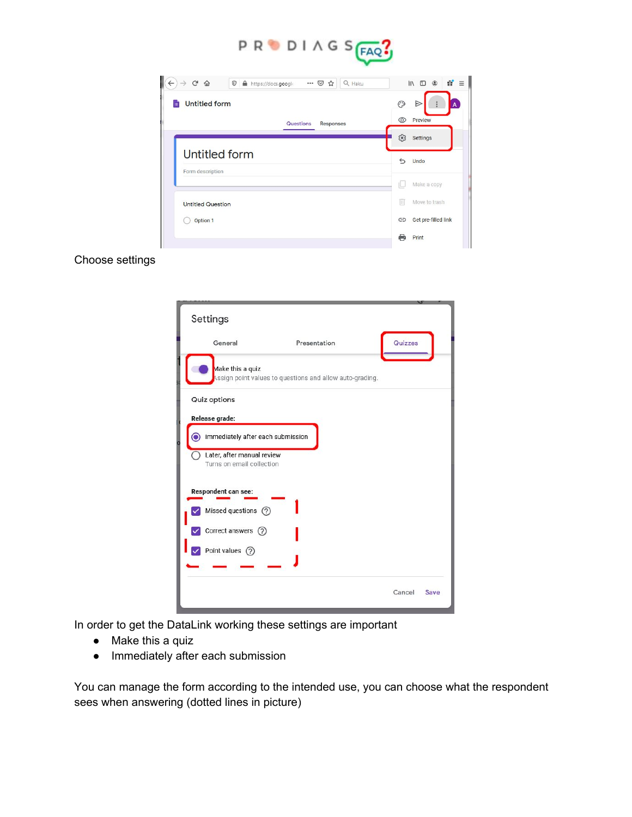

| G<br>$\hat{w}$<br>$\odot$<br>$\cdots$ $\heartsuit$<br>Q Haku<br>https://docs.google<br>☆ | ă.<br>$\mathbb{I}$<br>$\Box$<br>۵ |
|------------------------------------------------------------------------------------------|-----------------------------------|
| <b>Untitled form</b><br>iΞ                                                               | O<br>E<br>A                       |
| Questions<br>Responses                                                                   | $\circledcirc$<br>Preview         |
|                                                                                          | ස<br>Settings                     |
| Untitled form                                                                            | ⇆<br>Undo                         |
| Form description                                                                         | Make a copy<br>IL.                |
| <b>Untitled Question</b>                                                                 | π<br>Move to trash                |
| Option 1                                                                                 | Get pre-filled link<br>⊖          |
|                                                                                          | е<br>Print                        |

#### Choose settings



In order to get the DataLink working these settings are important

- Make this a quiz
- Immediately after each submission

You can manage the form according to the intended use, you can choose what the respondent sees when answering (dotted lines in picture)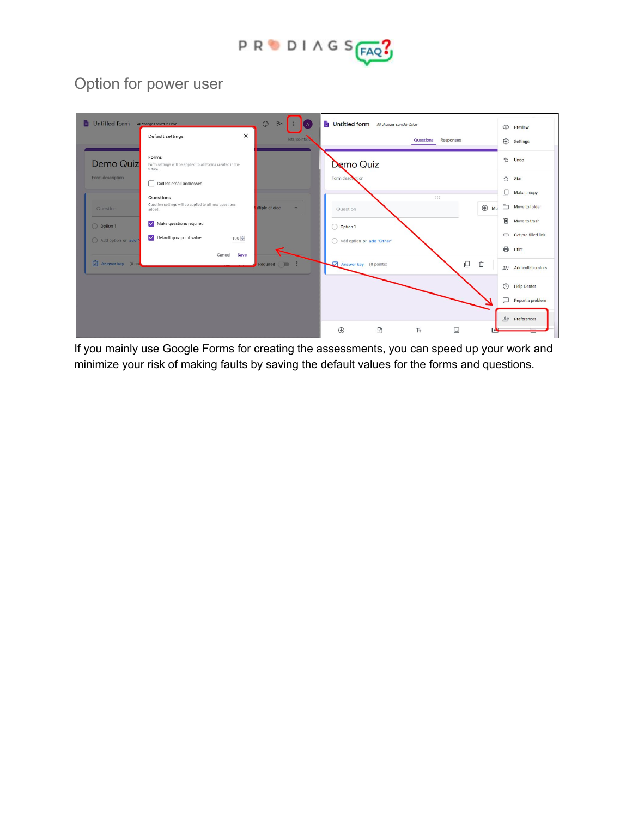

## Option for power user

| Untitled form All changes saved in Drive |                                                                               | $\odot$<br>$\blacktriangleright$<br>$\overline{A}$ | Untitled form All changes saved in Drive |              |                        |            | $^{\circ}$<br>Preview               |
|------------------------------------------|-------------------------------------------------------------------------------|----------------------------------------------------|------------------------------------------|--------------|------------------------|------------|-------------------------------------|
|                                          | $\times$<br>Default settings                                                  | Total points:                                      |                                          |              | Questions<br>Responses |            | ణ<br>Settings                       |
| Demo Quiz                                | Forms<br>Form settings will be applied to all Forms created in the<br>future. |                                                    | Demo Quiz                                |              |                        |            | $5$ Undo                            |
| Form description                         | Collect email addresses                                                       |                                                    | Form description                         |              |                        |            | <b>☆</b> Star                       |
| Question                                 | Questions<br>Question settings will be applied to all new questions           | iltiple choice<br>$\overline{\phantom{0}}$         |                                          |              | 111                    | $\odot$ Mu | ıΟ<br>Make a copy<br>Move to folder |
| O Option 1                               | added.<br>Make questions required<br>$\overline{\smile}$                      |                                                    | Question                                 |              |                        |            | 面<br>Move to trash                  |
| Add option or add"                       | Default quiz point value<br>100 ≑                                             |                                                    | O Option 1<br>Add option or add "Other"  |              |                        |            | GD Get pre-filled link              |
|                                          | Cancel<br>Save                                                                |                                                    |                                          |              |                        |            | e<br>Print                          |
| Answerkey (0 pol                         |                                                                               | Required <b>Figure</b>                             | Answer key (0 points)                    |              | ロ                      | 画          | 음산 Add collaborators                |
|                                          |                                                                               |                                                    |                                          |              |                        |            | $\odot$<br><b>Help Center</b>       |
|                                          |                                                                               |                                                    |                                          |              |                        |            | ⊡<br>Report a problem               |
|                                          |                                                                               |                                                    |                                          |              |                        |            | go Preferences                      |
|                                          |                                                                               |                                                    | $\bigoplus$                              | $\mathbf{B}$ | Тт<br>$\square$        |            |                                     |

If you mainly use Google Forms for creating the assessments, you can speed up your work and minimize your risk of making faults by saving the default values for the forms and questions.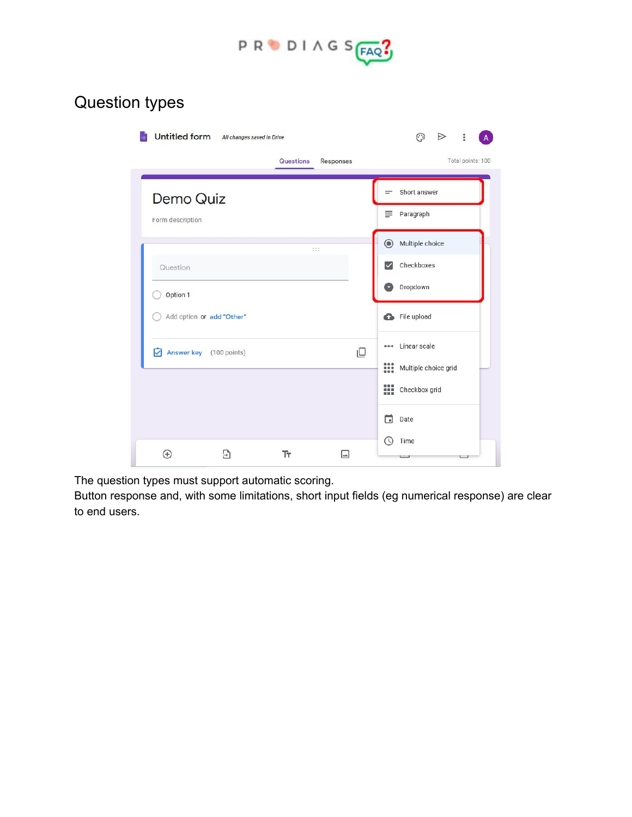

# Question types

| <b>Untitled form</b>      | All changes saved in Drive |           |                  | ు<br>i<br>⋗                           |
|---------------------------|----------------------------|-----------|------------------|---------------------------------------|
|                           |                            | Questions | <b>Responses</b> | Total points: 100                     |
| Demo Quiz                 |                            |           |                  | Short answer<br>$=$<br>Paragraph<br>≡ |
| Form description          |                            |           |                  |                                       |
|                           |                            | 111       |                  | Multiple choice<br>$\odot$            |
| Question                  |                            |           |                  | Checkboxes<br>$\overline{\vee}$       |
| Option 1                  |                            |           |                  | Dropdown<br>o                         |
| Add option or add "Other" |                            |           |                  | File upload                           |
| Answer key (100 points)   |                            |           | ₽                | Linear scale<br>$-0.0$                |
|                           |                            |           |                  | ₩<br>Multiple choice grid             |
|                           |                            |           |                  | m<br>Checkbox grid                    |
|                           |                            |           |                  | 门<br>Date                             |
|                           |                            |           |                  | Time                                  |
| ⊕                         | Э                          | Tт        |                  |                                       |

The question types must support automatic scoring.

Button response and, with some limitations, short input fields (eg numerical response) are clear to end users.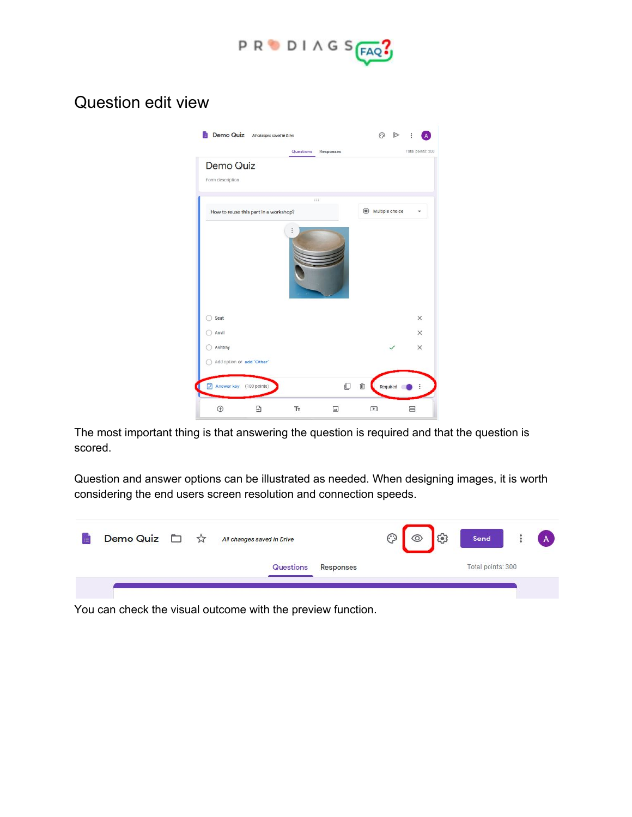

#### Question edit view

| Demo Quiz All changes saved in Drive  |           |                                    | ⊙               |          |                   |
|---------------------------------------|-----------|------------------------------------|-----------------|----------|-------------------|
|                                       | Questions | Responses                          |                 |          | Total points: 200 |
| Demo Quiz<br>Form description         |           |                                    |                 |          |                   |
|                                       | 111       |                                    |                 |          |                   |
| How to reuse this part in a workshop? |           |                                    | Multiple choice |          |                   |
|                                       |           |                                    |                 |          |                   |
| Seat                                  |           |                                    |                 |          | $\times$          |
| Anvil                                 |           |                                    |                 |          | $\times$          |
| Ashtray                               |           |                                    |                 |          | $\times$          |
| Add option or add "Other"             |           |                                    |                 |          |                   |
| Answer key (100 points)<br>đ          |           | O                                  | 面               | Required | ÷                 |
| $\oplus$<br>Ð                         | Тr        | $\boxed{\underline{\phantom{a}}}%$ | $\Box$          |          | 吕                 |

The most important thing is that answering the question is required and that the question is scored.

Question and answer options can be illustrated as needed. When designing images, it is worth considering the end users screen resolution and connection speeds.



You can check the visual outcome with the preview function.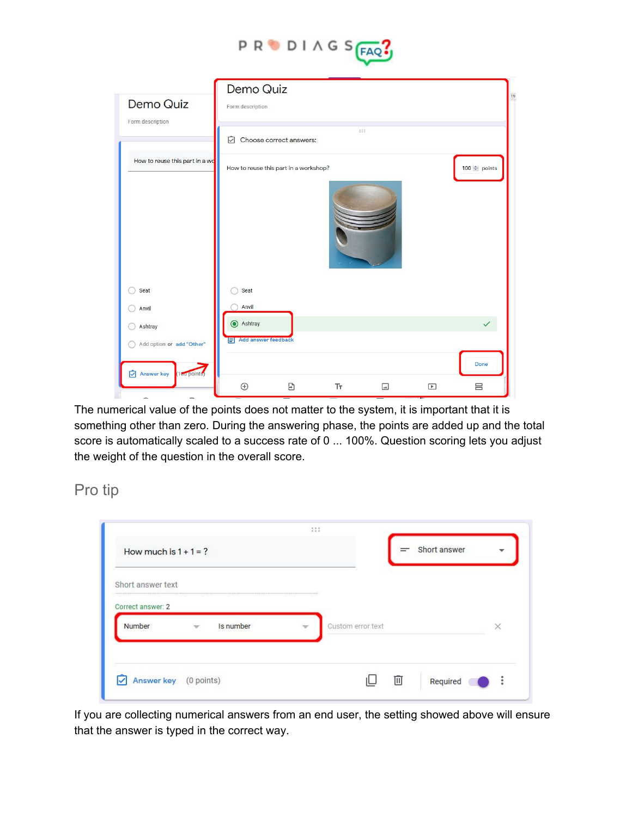

| Demo Quiz<br>Form description   | Demo Quiz<br>Form description |                                       |    |     |                          |                          |
|---------------------------------|-------------------------------|---------------------------------------|----|-----|--------------------------|--------------------------|
|                                 | ♡                             | Choose correct answers:               |    | 111 |                          |                          |
| How to reuse this part in a wo  |                               | How to reuse this part in a workshop? |    |     |                          | 100 $\frac{1}{2}$ points |
|                                 |                               |                                       |    |     |                          |                          |
| Seat                            | Seat                          |                                       |    |     |                          |                          |
| Anvil                           | Anvil                         |                                       |    |     |                          |                          |
| Ashtray                         | Ashtray                       |                                       |    |     |                          |                          |
| Add option or add "Other"       | F Add answer feedback         |                                       |    |     |                          |                          |
| (180 points)<br>Answer key<br>☑ | $\hspace{.1cm} \oplus$        | $\Xi$                                 | Tr | ⊡   | $\boxed{\triangleright}$ | Done<br>吕                |

The numerical value of the points does not matter to the system, it is important that it is something other than zero. During the answering phase, the points are added up and the total score is automatically scaled to a success rate of 0 ... 100%. Question scoring lets you adjust the weight of the question in the overall score.

Pro tip

| How much is $1 + 1 = ?$                                   |                   | Short answer |  |
|-----------------------------------------------------------|-------------------|--------------|--|
| Short answer text                                         |                   |              |  |
| Correct answer: 2<br>Is number<br>Number<br>$\mathcal{A}$ | Custom error text |              |  |
|                                                           |                   |              |  |

If you are collecting numerical answers from an end user, the setting showed above will ensure that the answer is typed in the correct way.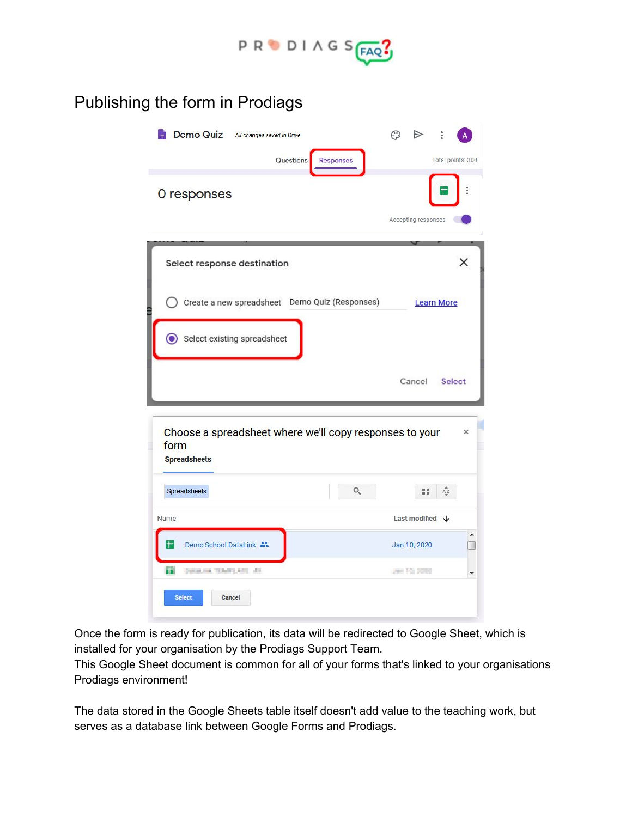

## Publishing the form in Prodiags

| Demo Quiz All changes saved in Drive<br><b>Questions</b><br><b>Responses</b>           | ಾ<br>$\Rightarrow$         | ÷<br>Total points: 300               |                      |
|----------------------------------------------------------------------------------------|----------------------------|--------------------------------------|----------------------|
| O responses                                                                            | Accepting responses        |                                      | $\ddot{\phantom{a}}$ |
| Select response destination                                                            |                            |                                      | x                    |
| Create a new spreadsheet  Demo Quiz (Responses)                                        |                            | <b>Learn More</b>                    |                      |
| Select existing spreadsheet<br>$\odot$                                                 |                            |                                      |                      |
|                                                                                        |                            |                                      |                      |
|                                                                                        | Cancel                     | <b>Select</b>                        |                      |
| Choose a spreadsheet where we'll copy responses to your<br>form<br><b>Spreadsheets</b> |                            |                                      | ×                    |
| $\hbox{\tt Q}$<br>Spreadsheets                                                         | 55                         | $\mathop{\mathsf{A}\mathsf{Z}}_\Psi$ |                      |
| Name                                                                                   | Last modified $\downarrow$ |                                      |                      |
| Demo School DataLink **<br>$\pm$                                                       | Jan 10, 2020               |                                      | ۸<br>9               |

Once the form is ready for publication, its data will be redirected to Google Sheet, which is installed for your organisation by the Prodiags Support Team.

This Google Sheet document is common for all of your forms that's linked to your organisations Prodiags environment!

The data stored in the Google Sheets table itself doesn't add value to the teaching work, but serves as a database link between Google Forms and Prodiags.